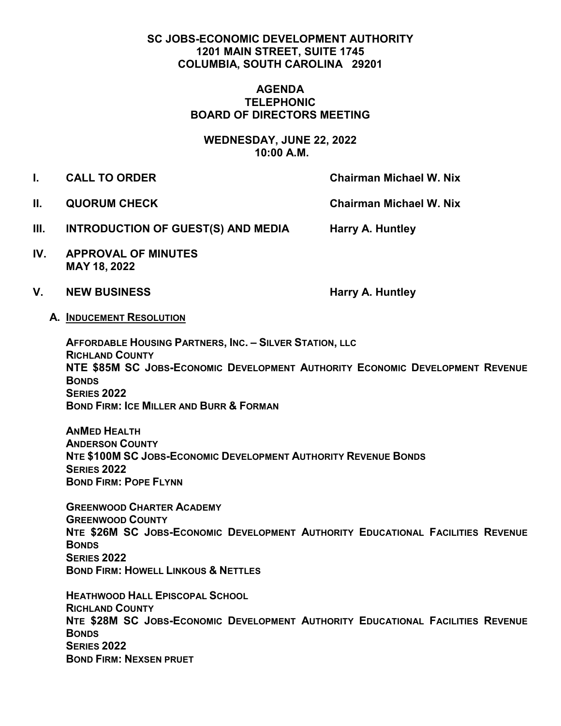## **SC JOBS-ECONOMIC DEVELOPMENT AUTHORITY 1201 MAIN STREET, SUITE 1745 COLUMBIA, SOUTH CAROLINA 29201**

## **AGENDA TELEPHONIC BOARD OF DIRECTORS MEETING**

**WEDNESDAY, JUNE 22, 2022 10:00 A.M.**

- **I. CALL TO ORDER Chairman Michael W. Nix** 
	-

**II. QUORUM CHECK Chairman Michael W. Nix** 

- **III.** INTRODUCTION OF GUEST(S) AND MEDIA Harry A. Huntley
- **IV. APPROVAL OF MINUTES MAY 18, 2022**
- V. NEW BUSINESS **Harry A. Huntley**

**A. INDUCEMENT RESOLUTION** 

**AFFORDABLE HOUSING PARTNERS, INC. – SILVER STATION, LLC RICHLAND COUNTY NTE \$85M SC JOBS-ECONOMIC DEVELOPMENT AUTHORITY ECONOMIC DEVELOPMENT REVENUE BONDS SERIES 2022 BOND FIRM: ICE MILLER AND BURR & FORMAN** 

**ANMED HEALTH ANDERSON COUNTY NTE \$100M SC JOBS-ECONOMIC DEVELOPMENT AUTHORITY REVENUE BONDS SERIES 2022 BOND FIRM: POPE FLYNN** 

**GREENWOOD CHARTER ACADEMY GREENWOOD COUNTY NTE \$26M SC JOBS-ECONOMIC DEVELOPMENT AUTHORITY EDUCATIONAL FACILITIES REVENUE BONDS SERIES 2022 BOND FIRM: HOWELL LINKOUS & NETTLES** 

**HEATHWOOD HALL EPISCOPAL SCHOOL RICHLAND COUNTY NTE \$28M SC JOBS-ECONOMIC DEVELOPMENT AUTHORITY EDUCATIONAL FACILITIES REVENUE BONDS SERIES 2022 BOND FIRM: NEXSEN PRUET**